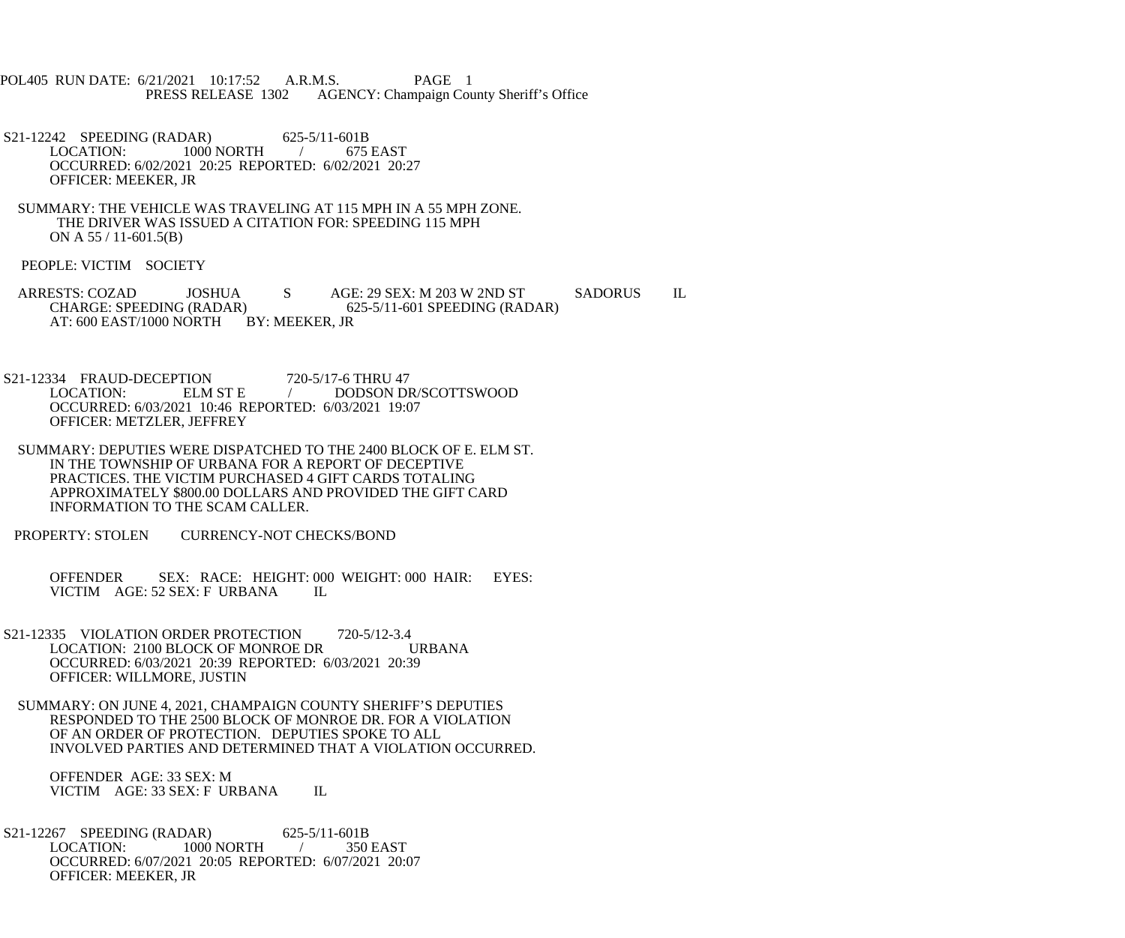- POL405 RUN DATE: 6/21/2021 10:17:52 A.R.M.S. PAGE 1 PRESS RELEASE 1302 AGENCY: Champaign County Sheriff's Office
- S21-12242 SPEEDING (RADAR) 625-5/11-601B<br>LOCATION: 1000 NORTH / 675 EAST 1000 NORTH / OCCURRED: 6/02/2021 20:25 REPORTED: 6/02/2021 20:27 OFFICER: MEEKER, JR
- SUMMARY: THE VEHICLE WAS TRAVELING AT 115 MPH IN A 55 MPH ZONE. THE DRIVER WAS ISSUED A CITATION FOR: SPEEDING 115 MPH ON A 55 / 11-601.5(B)
- PEOPLE: VICTIM SOCIETY
- ARRESTS: COZAD JOSHUA S AGE: 29 SEX: M 203 W 2ND ST SADORUS IL<br>CHARGE: SPEEDING (RADAR) 625-5/11-601 SPEEDING (RADAR) CHARGE: SPEEDING (RADAR) AT: 600 EAST/1000 NORTH BY: MEEKER, JR
- S21-12334 FRAUD-DECEPTION 720-5/17-6 THRU 47<br>LOCATION: ELM ST E DODSON DR/SCOTTSWOOD OCCURRED: 6/03/2021 10:46 REPORTED: 6/03/2021 19:07 OFFICER: METZLER, JEFFREY
- SUMMARY: DEPUTIES WERE DISPATCHED TO THE 2400 BLOCK OF E. ELM ST. IN THE TOWNSHIP OF URBANA FOR A REPORT OF DECEPTIVE PRACTICES. THE VICTIM PURCHASED 4 GIFT CARDS TOTALING APPROXIMATELY \$800.00 DOLLARS AND PROVIDED THE GIFT CARD INFORMATION TO THE SCAM CALLER.
- PROPERTY: STOLEN CURRENCY-NOT CHECKS/BOND
	- OFFENDER SEX: RACE: HEIGHT: 000 WEIGHT: 000 HAIR: EYES: VICTIM AGE: 52 SEX: F URBANA IL VICTIM AGE: 52 SEX: F URBANA
- S21-12335 VIOLATION ORDER PROTECTION 720-5/12-3.4<br>LOCATION: 2100 BLOCK OF MONROE DR URBANA LOCATION: 2100 BLOCK OF MONROE DR OCCURRED: 6/03/2021 20:39 REPORTED: 6/03/2021 20:39 OFFICER: WILLMORE, JUSTIN
- SUMMARY: ON JUNE 4, 2021, CHAMPAIGN COUNTY SHERIFF'S DEPUTIES RESPONDED TO THE 2500 BLOCK OF MONROE DR. FOR A VIOLATION OF AN ORDER OF PROTECTION. DEPUTIES SPOKE TO ALL INVOLVED PARTIES AND DETERMINED THAT A VIOLATION OCCURRED.

 OFFENDER AGE: 33 SEX: M VICTIM AGE: 33 SEX: F URBANA IL

S21-12267 SPEEDING (RADAR) 625-5/11-601B<br>LOCATION: 1000 NORTH 1000 1000 NORTH / 350 EAST OCCURRED: 6/07/2021 20:05 REPORTED: 6/07/2021 20:07 OFFICER: MEEKER, JR